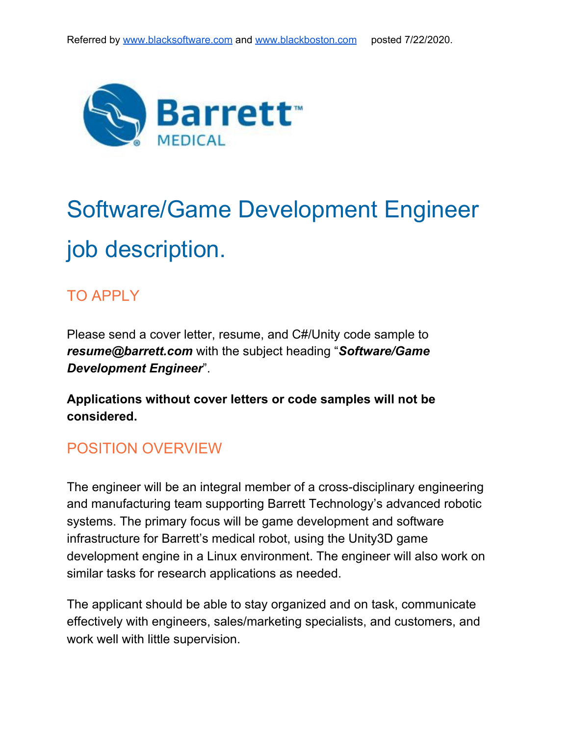

# Software/Game Development Engineer job description.

#### TO APPLY

Please send a cover letter, resume, and C#/Unity code sample to *resume@barrett.com* with the subject heading "*Software/Game Development Engineer*".

**Applications without cover letters or code samples will not be considered.**

#### POSITION OVERVIEW

The engineer will be an integral member of a cross-disciplinary engineering and manufacturing team supporting Barrett Technology's advanced robotic systems. The primary focus will be game development and software infrastructure for Barrett's medical robot, using the Unity3D game development engine in a Linux environment. The engineer will also work on similar tasks for research applications as needed.

The applicant should be able to stay organized and on task, communicate effectively with engineers, sales/marketing specialists, and customers, and work well with little supervision.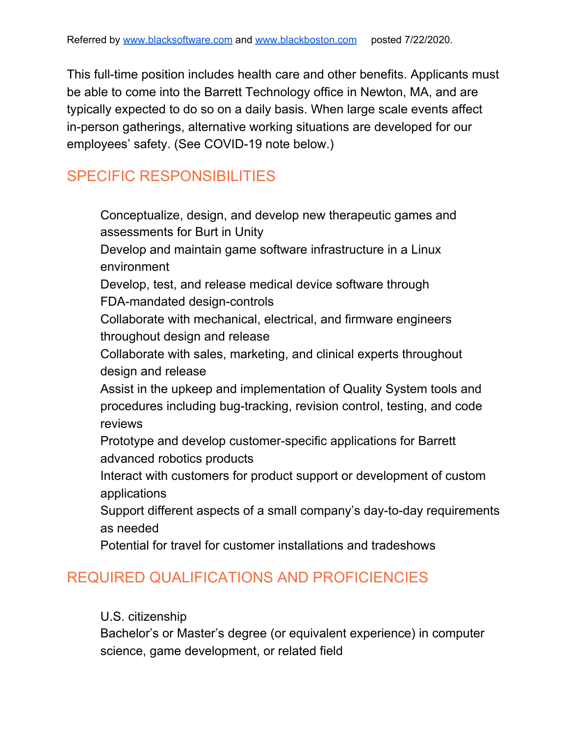This full-time position includes health care and other benefits. Applicants must be able to come into the Barrett Technology office in Newton, MA, and are typically expected to do so on a daily basis. When large scale events affect in-person gatherings, alternative working situations are developed for our employees' safety. (See COVID-19 note below.)

#### SPECIFIC RESPONSIBILITIES

- Conceptualize, design, and develop new therapeutic games and assessments for Burt in Unity
- Develop and maintain game software infrastructure in a Linux environment
- Develop, test, and release medical device software through FDA-mandated design-controls
- Collaborate with mechanical, electrical, and firmware engineers throughout design and release
- Collaborate with sales, marketing, and clinical experts throughout design and release
- Assist in the upkeep and implementation of Quality System tools and procedures including bug-tracking, revision control, testing, and code reviews
- Prototype and develop customer-specific applications for Barrett advanced robotics products
- Interact with customers for product support or development of custom applications
- Support different aspects of a small company's day-to-day requirements as needed
- Potential for travel for customer installations and tradeshows

#### REQUIRED QUALIFICATIONS AND PROFICIENCIES

#### U.S. citizenship

Bachelor's or Master's degree (or equivalent experience) in computer science, game development, or related field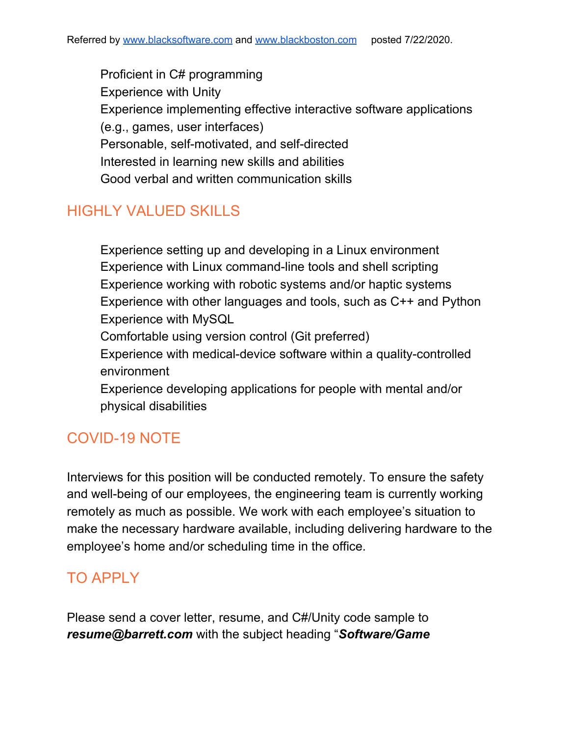Proficient in C# programming Experience with Unity Experience implementing effective interactive software applications (e.g., games, user interfaces) Personable, self-motivated, and self-directed Interested in learning new skills and abilities Good verbal and written communication skills

#### HIGHLY VALUED SKILLS

Experience setting up and developing in a Linux environment Experience with Linux command-line tools and shell scripting Experience working with robotic systems and/or haptic systems Experience with other languages and tools, such as C++ and Python Experience with MySQL Comfortable using version control (Git preferred)

Experience with medical-device software within a quality-controlled environment

Experience developing applications for people with mental and/or physical disabilities

## COVID-19 NOTE

Interviews for this position will be conducted remotely. To ensure the safety and well-being of our employees, the engineering team is currently working remotely as much as possible. We work with each employee's situation to make the necessary hardware available, including delivering hardware to the employee's home and/or scheduling time in the office.

## TO APPLY

Please send a cover letter, resume, and C#/Unity code sample to *resume@barrett.com* with the subject heading "*Software/Game*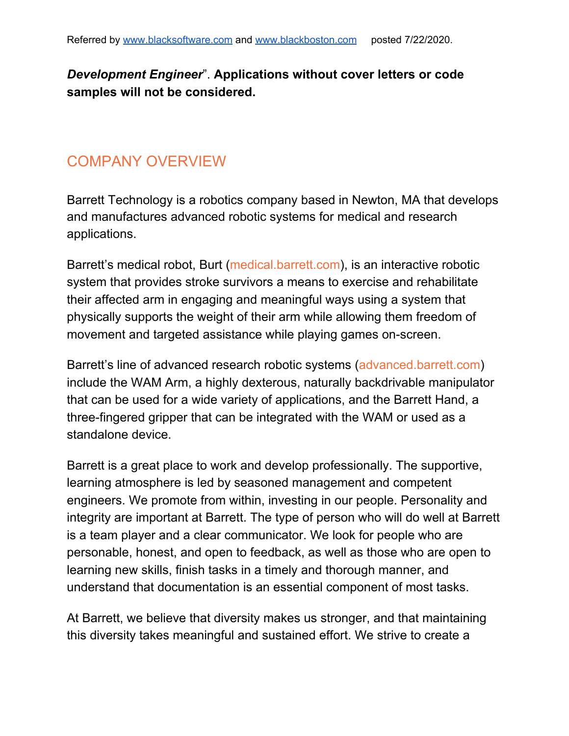#### *Development Engineer*". **Applications without cover letters or code samples will not be considered.**

#### COMPANY OVERVIEW

Barrett Technology is a robotics company based in Newton, MA that develops and manufactures advanced robotic systems for medical and research applications.

Barrett's medical robot, Burt ([medical.barrett.com](https://medical.barrett.com/)), is an interactive robotic system that provides stroke survivors a means to exercise and rehabilitate their affected arm in engaging and meaningful ways using a system that physically supports the weight of their arm while allowing them freedom of movement and targeted assistance while playing games on-screen.

Barrett's line of advanced research robotic systems [\(advanced.barrett.com\)](https://advanced.barrett.com/) include the WAM Arm, a highly dexterous, naturally backdrivable manipulator that can be used for a wide variety of applications, and the Barrett Hand, a three-fingered gripper that can be integrated with the WAM or used as a standalone device.

Barrett is a great place to work and develop professionally. The supportive, learning atmosphere is led by seasoned management and competent engineers. We promote from within, investing in our people. Personality and integrity are important at Barrett. The type of person who will do well at Barrett is a team player and a clear communicator. We look for people who are personable, honest, and open to feedback, as well as those who are open to learning new skills, finish tasks in a timely and thorough manner, and understand that documentation is an essential component of most tasks.

At Barrett, we believe that diversity makes us stronger, and that maintaining this diversity takes meaningful and sustained effort. We strive to create a